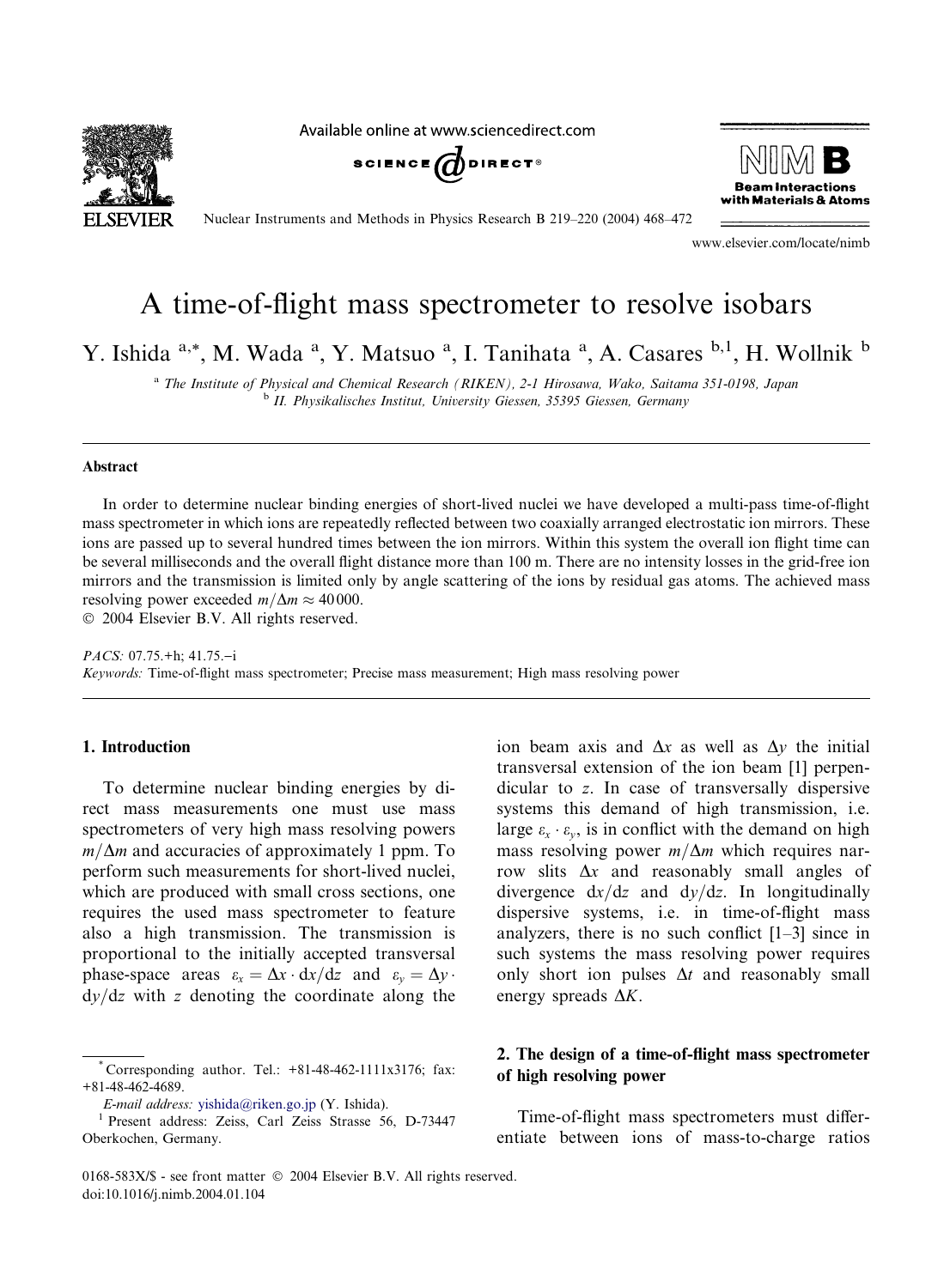

Available online at www.sciencedirect.com





Nuclear Instruments and Methods in Physics Research B 219–220 (2004) 468–472

www.elsevier.com/locate/nimb

# A time-of-flight mass spectrometer to resolve isobars

Y. Ishida <sup>a,\*</sup>, M. Wada <sup>a</sup>, Y. Matsuo <sup>a</sup>, I. Tanihata <sup>a</sup>, A. Casares <sup>b,1</sup>, H. Wollnik <sup>b</sup>

<sup>a</sup> The Institute of Physical and Chemical Research (RIKEN), 2-1 Hirosawa, Wako, Saitama 351-0198, Japan <sup>b</sup> II. Physikalisches Institut, University Giessen, 35395 Giessen, Germany

#### Abstract

In order to determine nuclear binding energies of short-lived nuclei we have developed a multi-pass time-of-flight mass spectrometer in which ions are repeatedly reflected between two coaxially arranged electrostatic ion mirrors. These ions are passed up to several hundred times between the ion mirrors. Within this system the overall ion flight time can be several milliseconds and the overall flight distance more than 100 m. There are no intensity losses in the grid-free ion mirrors and the transmission is limited only by angle scattering of the ions by residual gas atoms. The achieved mass resolving power exceeded  $m/\Delta m \approx 40000$ .

2004 Elsevier B.V. All rights reserved.

PACS: 07.75.+h; 41.75.-i Keywords: Time-of-flight mass spectrometer; Precise mass measurement; High mass resolving power

## 1. Introduction

To determine nuclear binding energies by direct mass measurements one must use mass spectrometers of very high mass resolving powers  $m/\Delta m$  and accuracies of approximately 1 ppm. To perform such measurements for short-lived nuclei, which are produced with small cross sections, one requires the used mass spectrometer to feature also a high transmission. The transmission is proportional to the initially accepted transversal phase-space areas  $\varepsilon_x = \Delta x \cdot dx/dz$  and  $\varepsilon_y = \Delta y \cdot dx$  $dy/dz$  with z denoting the coordinate along the transversal extension of the ion beam [1] perpendicular to z. In case of transversally dispersive systems this demand of high transmission, i.e. large  $\varepsilon_{x} \cdot \varepsilon_{y}$ , is in conflict with the demand on high mass resolving power  $m/\Delta m$  which requires narrow slits  $\Delta x$  and reasonably small angles of divergence  $dx/dz$  and  $dy/dz$ . In longitudinally dispersive systems, i.e. in time-of-flight mass analyzers, there is no such conflict [1–3] since in such systems the mass resolving power requires only short ion pulses  $\Delta t$  and reasonably small energy spreads  $\Delta K$ .

ion beam axis and  $\Delta x$  as well as  $\Delta y$  the initial

# 2. The design of a time-of-flight mass spectrometer of high resolving power

Time-of-flight mass spectrometers must differentiate between ions of mass-to-charge ratios

<sup>\*</sup> Corresponding author. Tel.: +81-48-462-1111x3176; fax: +81-48-462-4689.

E-mail address: [yishida@riken.go.jp](mail to: yishida@riken.go.jp) (Y. Ishida). <sup>1</sup> Present address: Zeiss, Carl Zeiss Strasse 56, D-73447 Oberkochen, Germany.

<sup>0168-583</sup>X/\$ - see front matter  $\odot$  2004 Elsevier B.V. All rights reserved. doi:10.1016/j.nimb.2004.01.104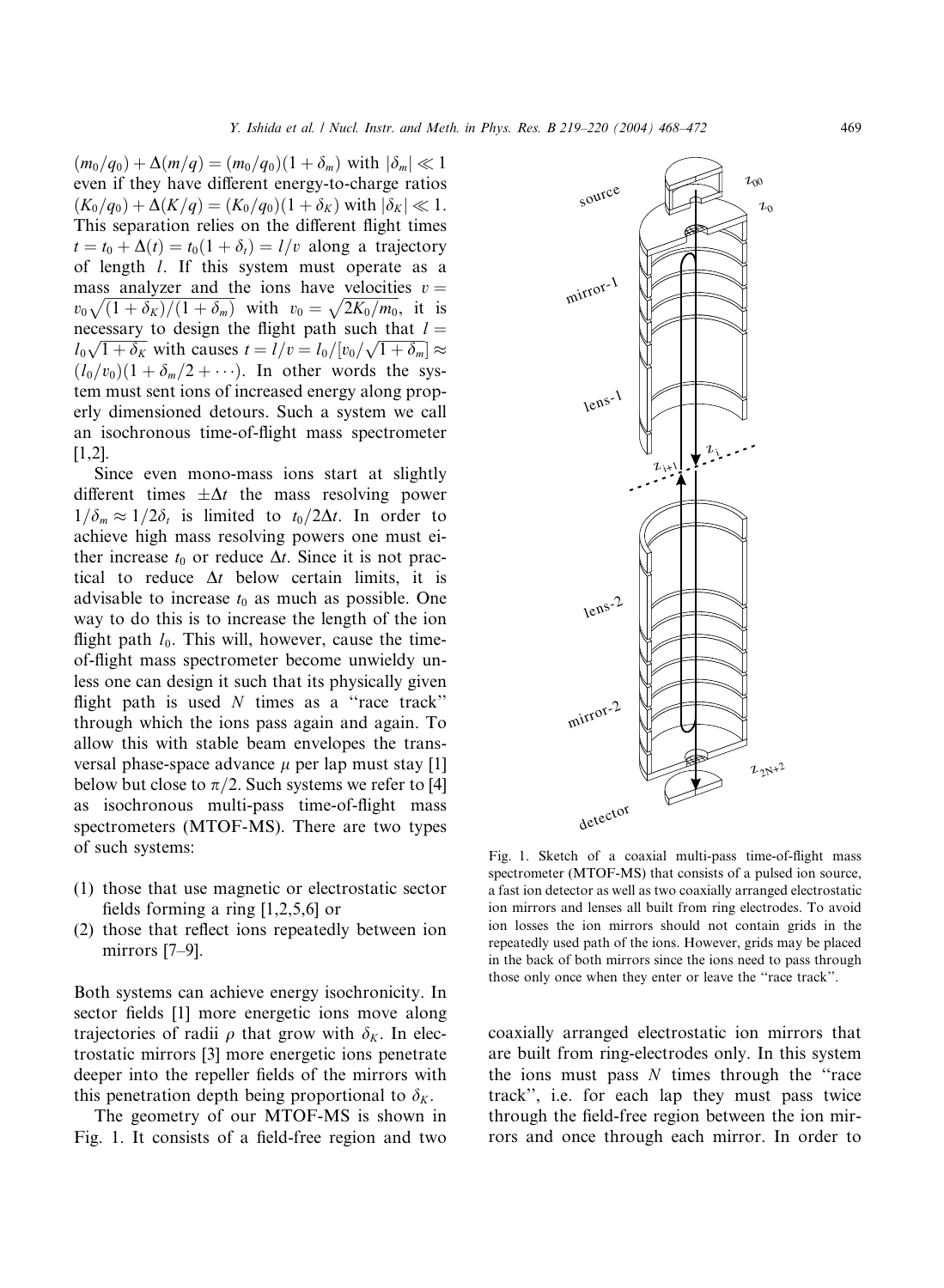$(m_0/q_0)+\Delta(m/q)=(m_0/q_0)(1+\delta_m)$  with  $|\delta_m|\ll 1$ even if they have different energy-to-charge ratios  $(K_0/q_0)+\Delta(K/q)=(K_0/q_0)(1+\delta_K)$  with  $|\delta_K|\ll 1$ . This separation relies on the different flight times  $t = t_0 + \Delta(t) = t_0(1 + \delta_t) = l/v$  along a trajectory of length l. If this system must operate as a mass analyzer and the ions have velocities  $v =$  $v_0\sqrt{(1+\delta_K)/(1+\delta_m)}$  with  $v_0=\sqrt{2K_0/m_0}$ , it is necessary to design the flight path such that  $l =$  $l_0\sqrt{1+\delta_K}$  with causes  $t = l/v = l_0/[v_0/\sqrt{1+\delta_m}] \approx$  $(l_0/v_0)(1+\delta_m/2+\cdots)$ . In other words the system must sent ions of increased energy along properly dimensioned detours. Such a system we call an isochronous time-of-flight mass spectrometer [1,2].

Since even mono-mass ions start at slightly different times  $\pm \Delta t$  the mass resolving power  $1/\delta_m \approx 1/2\delta_t$  is limited to  $t_0/2\Delta t$ . In order to achieve high mass resolving powers one must either increase  $t_0$  or reduce  $\Delta t$ . Since it is not practical to reduce  $\Delta t$  below certain limits, it is advisable to increase  $t_0$  as much as possible. One way to do this is to increase the length of the ion flight path  $l_0$ . This will, however, cause the timeof-flight mass spectrometer become unwieldy unless one can design it such that its physically given flight path is used  $N$  times as a "race track" through which the ions pass again and again. To allow this with stable beam envelopes the transversal phase-space advance  $\mu$  per lap must stay [1] below but close to  $\pi/2$ . Such systems we refer to [4] as isochronous multi-pass time-of-flight mass spectrometers (MTOF-MS). There are two types of such systems:

- (1) those that use magnetic or electrostatic sector fields forming a ring [1,2,5,6] or
- (2) those that reflect ions repeatedly between ion mirrors [7–9].

Both systems can achieve energy isochronicity. In sector fields [1] more energetic ions move along trajectories of radii  $\rho$  that grow with  $\delta_K$ . In electrostatic mirrors [3] more energetic ions penetrate deeper into the repeller fields of the mirrors with this penetration depth being proportional to  $\delta_K$ .

The geometry of our MTOF-MS is shown in Fig. 1. It consists of a field-free region and two



Fig. 1. Sketch of a coaxial multi-pass time-of-flight mass spectrometer (MTOF-MS) that consists of a pulsed ion source, a fast ion detector as well as two coaxially arranged electrostatic ion mirrors and lenses all built from ring electrodes. To avoid ion losses the ion mirrors should not contain grids in the repeatedly used path of the ions. However, grids may be placed in the back of both mirrors since the ions need to pass through those only once when they enter or leave the ''race track''.

coaxially arranged electrostatic ion mirrors that are built from ring-electrodes only. In this system the ions must pass  $N$  times through the "race" track'', i.e. for each lap they must pass twice through the field-free region between the ion mirrors and once through each mirror. In order to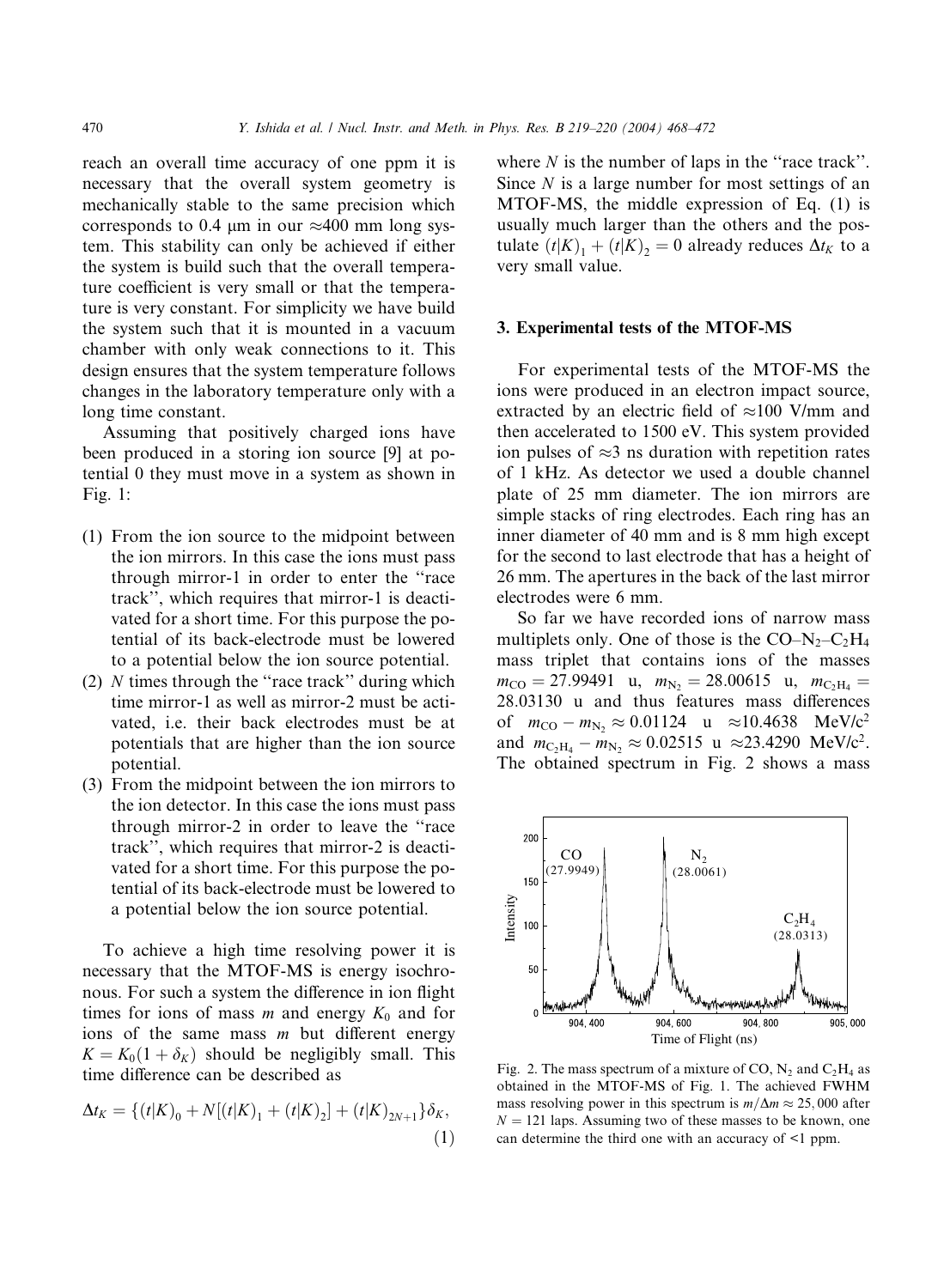reach an overall time accuracy of one ppm it is necessary that the overall system geometry is mechanically stable to the same precision which corresponds to 0.4  $\mu$ m in our  $\approx$ 400 mm long system. This stability can only be achieved if either the system is build such that the overall temperature coefficient is very small or that the temperature is very constant. For simplicity we have build the system such that it is mounted in a vacuum chamber with only weak connections to it. This design ensures that the system temperature follows changes in the laboratory temperature only with a long time constant.

Assuming that positively charged ions have been produced in a storing ion source [9] at potential 0 they must move in a system as shown in Fig. 1:

- (1) From the ion source to the midpoint between the ion mirrors. In this case the ions must pass through mirror-1 in order to enter the "race" track", which requires that mirror-1 is deactivated for a short time. For this purpose the potential of its back-electrode must be lowered to a potential below the ion source potential.
- (2) N times through the ''race track'' during which time mirror-1 as well as mirror-2 must be activated, i.e. their back electrodes must be at potentials that are higher than the ion source potential.
- (3) From the midpoint between the ion mirrors to the ion detector. In this case the ions must pass through mirror-2 in order to leave the ''race track'', which requires that mirror-2 is deactivated for a short time. For this purpose the potential of its back-electrode must be lowered to a potential below the ion source potential.

To achieve a high time resolving power it is necessary that the MTOF-MS is energy isochronous. For such a system the difference in ion flight times for ions of mass  $m$  and energy  $K_0$  and for ions of the same mass  $m$  but different energy  $K = K_0(1 + \delta_K)$  should be negligibly small. This time difference can be described as

$$
\Delta t_K = \{ (t|K)_0 + N[(t|K)_1 + (t|K)_2] + (t|K)_{2N+1} \} \delta_K,
$$
\n(1)

where  $N$  is the number of laps in the "race track". Since  $N$  is a large number for most settings of an MTOF-MS, the middle expression of Eq. (1) is usually much larger than the others and the postulate  $(t|K)_1 + (t|K)_2 = 0$  already reduces  $\Delta t_K$  to a very small value.

## 3. Experimental tests of the MTOF-MS

For experimental tests of the MTOF-MS the ions were produced in an electron impact source, extracted by an electric field of  $\approx$ 100 V/mm and then accelerated to 1500 eV. This system provided ion pulses of  $\approx$ 3 ns duration with repetition rates of 1kHz. As detector we used a double channel plate of 25 mm diameter. The ion mirrors are simple stacks of ring electrodes. Each ring has an inner diameter of 40 mm and is 8 mm high except for the second to last electrode that has a height of 26 mm. The apertures in the back of the last mirror electrodes were 6 mm.

So far we have recorded ions of narrow mass multiplets only. One of those is the  $CO-N_2-C_2H_4$ mass triplet that contains ions of the masses  $m_{\text{CO}} = 27.99491$  u,  $m_{\text{N}_2} = 28.00615$  u,  $m_{\text{C}_2\text{H}_4} =$ 28:03130 u and thus features mass differences of  $m_{\text{CO}} - m_{\text{N}_2} \approx 0.01124$  u  $\approx 10.4638$  MeV/c<sup>2</sup> and  $m_{\text{C}_2\text{H}_4} - m_{\text{N}_2} \approx 0.02515 \text{ u } \approx 23.4290 \text{ MeV}/c^2$ . The obtained spectrum in Fig. 2 shows a mass



Fig. 2. The mass spectrum of a mixture of CO,  $N_2$  and  $C_2H_4$  as obtained in the MTOF-MS of Fig. 1. The achieved FWHM mass resolving power in this spectrum is  $m/\Delta m \approx 25,000$  after  $N = 121$  laps. Assuming two of these masses to be known, one can determine the third one with an accuracy of  $\leq 1$  ppm.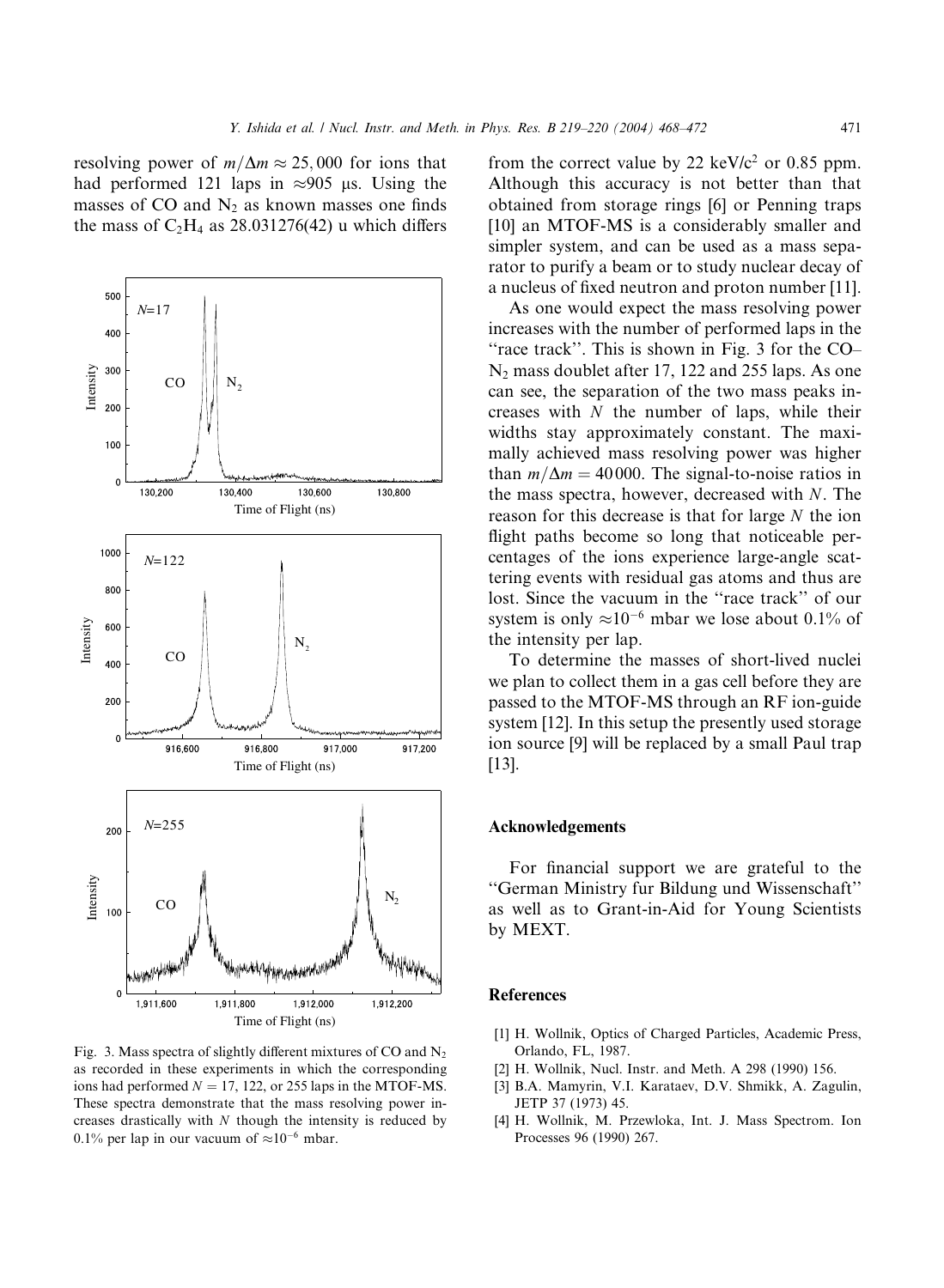resolving power of  $m/\Delta m \approx 25,000$  for ions that had performed 121 laps in  $\approx 905$  µs. Using the masses of  $CO$  and  $N_2$  as known masses one finds the mass of  $C_2H_4$  as 28.031276(42) u which differs



Fig. 3. Mass spectra of slightly different mixtures of CO and  $N<sub>2</sub>$ as recorded in these experiments in which the corresponding ions had performed  $N = 17$ , 122, or 255 laps in the MTOF-MS. These spectra demonstrate that the mass resolving power increases drastically with  $N$  though the intensity is reduced by 0.1% per lap in our vacuum of  $\approx 10^{-6}$  mbar.

from the correct value by 22 keV/ $c^2$  or 0.85 ppm. Although this accuracy is not better than that obtained from storage rings [6] or Penning traps [10] an MTOF-MS is a considerably smaller and simpler system, and can be used as a mass separator to purify a beam or to study nuclear decay of a nucleus of fixed neutron and proton number [11].

As one would expect the mass resolving power increases with the number of performed laps in the "race track". This is shown in Fig. 3 for the CO–  $N_2$  mass doublet after 17, 122 and 255 laps. As one can see, the separation of the two mass peaks increases with N the number of laps, while their widths stay approximately constant. The maximally achieved mass resolving power was higher than  $m/\Delta m = 40000$ . The signal-to-noise ratios in the mass spectra, however, decreased with  $N$ . The reason for this decrease is that for large  $N$  the ion flight paths become so long that noticeable percentages of the ions experience large-angle scattering events with residual gas atoms and thus are lost. Since the vacuum in the ''race track'' of our system is only  $\approx 10^{-6}$  mbar we lose about 0.1% of the intensity per lap.

To determine the masses of short-lived nuclei we plan to collect them in a gas cell before they are passed to the MTOF-MS through an RF ion-guide system [12]. In this setup the presently used storage ion source [9] will be replaced by a small Paul trap [13].

## Acknowledgements

For financial support we are grateful to the ''German Ministry fur Bildung und Wissenschaft'' as well as to Grant-in-Aid for Young Scientists by MEXT.

### References

- [1] H. Wollnik, Optics of Charged Particles, Academic Press, Orlando, FL, 1987.
- [2] H. Wollnik, Nucl. Instr. and Meth. A 298 (1990) 156.
- [3] B.A. Mamyrin, V.I. Karataev, D.V. Shmikk, A. Zagulin, JETP 37 (1973) 45.
- [4] H. Wollnik, M. Przewloka, Int. J. Mass Spectrom. Ion Processes 96 (1990) 267.